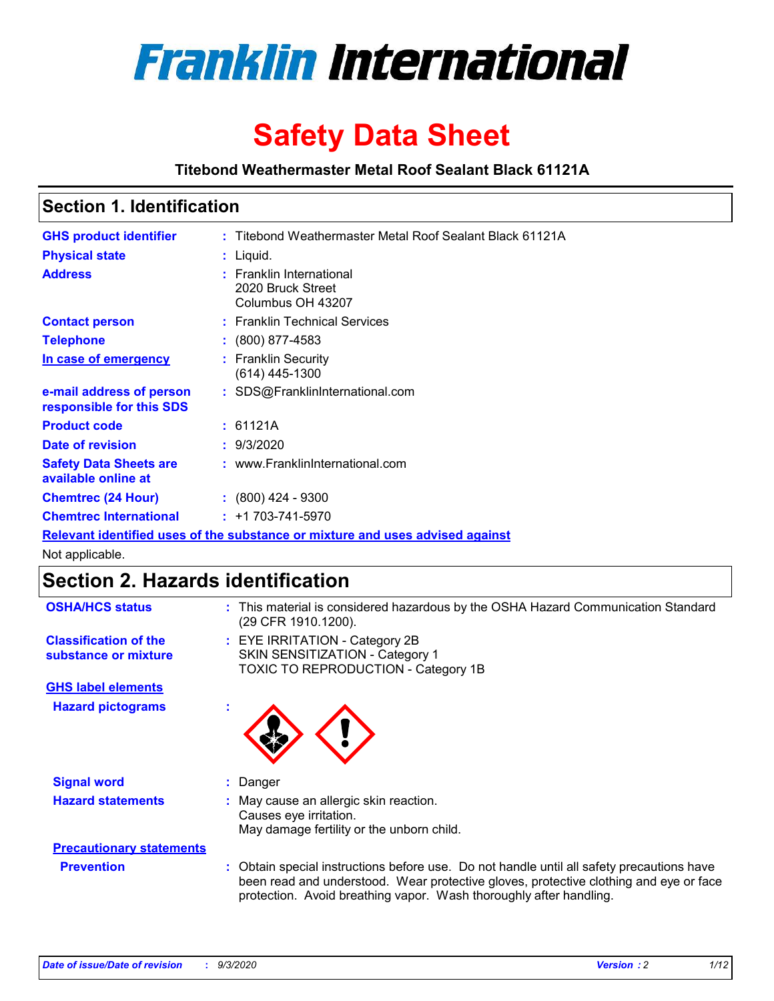

# **Safety Data Sheet**

**Titebond Weathermaster Metal Roof Sealant Black 61121A**

### **Section 1. Identification**

| <b>GHS product identifier</b>                        | : Titebond Weathermaster Metal Roof Sealant Black 61121A                      |  |
|------------------------------------------------------|-------------------------------------------------------------------------------|--|
| <b>Physical state</b>                                | : Liquid.                                                                     |  |
| <b>Address</b>                                       | : Franklin International<br>2020 Bruck Street<br>Columbus OH 43207            |  |
| <b>Contact person</b>                                | : Franklin Technical Services                                                 |  |
| <b>Telephone</b>                                     | $\colon$ (800) 877-4583                                                       |  |
| In case of emergency                                 | : Franklin Security<br>$(614)$ 445-1300                                       |  |
| e-mail address of person<br>responsible for this SDS | : SDS@FranklinInternational.com                                               |  |
| <b>Product code</b>                                  | : 61121A                                                                      |  |
| Date of revision                                     | : 9/3/2020                                                                    |  |
| <b>Safety Data Sheets are</b><br>available online at | : www.FranklinInternational.com                                               |  |
| <b>Chemtrec (24 Hour)</b>                            | $\div$ (800) 424 - 9300                                                       |  |
| <b>Chemtrec International</b>                        | $: +1703 - 741 - 5970$                                                        |  |
|                                                      | Relevant identified uses of the substance or mixture and uses advised against |  |

Not applicable.

## **Section 2. Hazards identification**

| <b>OSHA/HCS status</b>                               |    | : This material is considered hazardous by the OSHA Hazard Communication Standard<br>(29 CFR 1910.1200).                                                                                                                                                 |  |  |  |
|------------------------------------------------------|----|----------------------------------------------------------------------------------------------------------------------------------------------------------------------------------------------------------------------------------------------------------|--|--|--|
| <b>Classification of the</b><br>substance or mixture |    | : EYE IRRITATION - Category 2B<br>SKIN SENSITIZATION - Category 1<br>TOXIC TO REPRODUCTION - Category 1B                                                                                                                                                 |  |  |  |
| <b>GHS label elements</b>                            |    |                                                                                                                                                                                                                                                          |  |  |  |
| <b>Hazard pictograms</b>                             | ×. |                                                                                                                                                                                                                                                          |  |  |  |
| <b>Signal word</b>                                   | ÷. | Danger                                                                                                                                                                                                                                                   |  |  |  |
| <b>Hazard statements</b>                             |    | May cause an allergic skin reaction.<br>Causes eye irritation.<br>May damage fertility or the unborn child.                                                                                                                                              |  |  |  |
| <b>Precautionary statements</b>                      |    |                                                                                                                                                                                                                                                          |  |  |  |
| <b>Prevention</b>                                    |    | : Obtain special instructions before use. Do not handle until all safety precautions have<br>been read and understood. Wear protective gloves, protective clothing and eye or face<br>protection. Avoid breathing vapor. Wash thoroughly after handling. |  |  |  |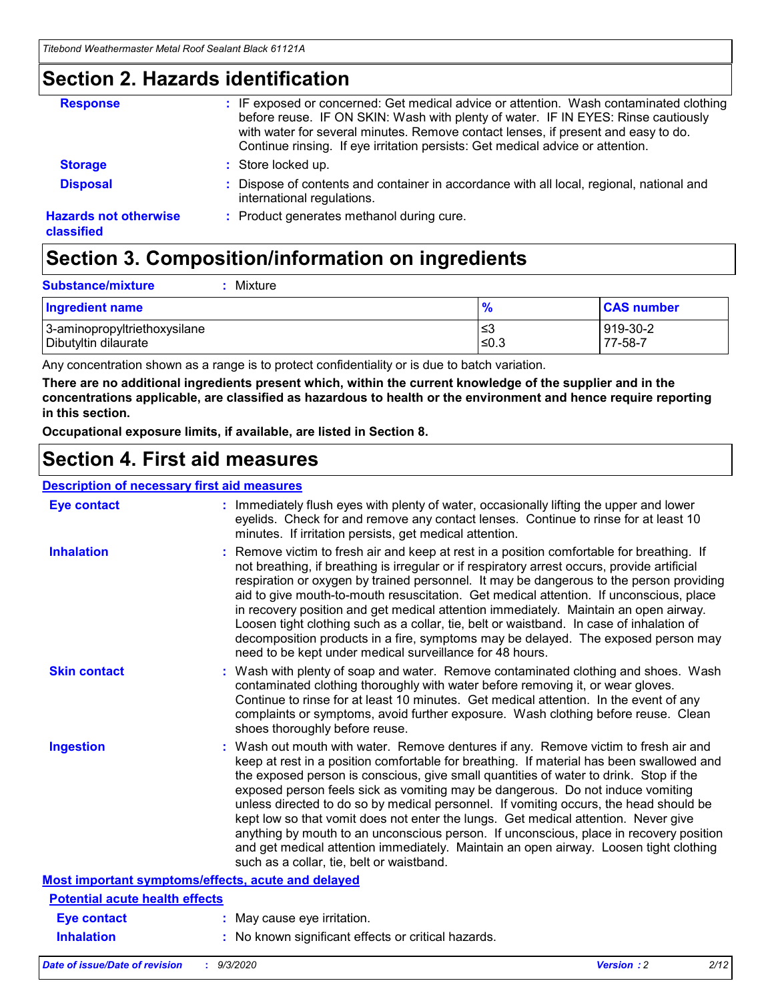### **Section 2. Hazards identification**

| <b>Response</b>                            | : IF exposed or concerned: Get medical advice or attention. Wash contaminated clothing<br>before reuse. IF ON SKIN: Wash with plenty of water. IF IN EYES: Rinse cautiously<br>with water for several minutes. Remove contact lenses, if present and easy to do.<br>Continue rinsing. If eye irritation persists: Get medical advice or attention. |
|--------------------------------------------|----------------------------------------------------------------------------------------------------------------------------------------------------------------------------------------------------------------------------------------------------------------------------------------------------------------------------------------------------|
| <b>Storage</b>                             | : Store locked up.                                                                                                                                                                                                                                                                                                                                 |
| <b>Disposal</b>                            | : Dispose of contents and container in accordance with all local, regional, national and<br>international regulations.                                                                                                                                                                                                                             |
| <b>Hazards not otherwise</b><br>classified | : Product generates methanol during cure.                                                                                                                                                                                                                                                                                                          |

## **Section 3. Composition/information on ingredients**

| <b>Substance/mixture</b> | Mixture |
|--------------------------|---------|
|                          |         |

| <b>Ingredient name</b>       | $\frac{9}{6}$ | <b>CAS number</b> |
|------------------------------|---------------|-------------------|
| 3-aminopropyltriethoxysilane | ≤3            | 919-30-2          |
| Dibutyltin dilaurate         | ∣≤0.3         | 77-58-7           |

Any concentration shown as a range is to protect confidentiality or is due to batch variation.

**There are no additional ingredients present which, within the current knowledge of the supplier and in the concentrations applicable, are classified as hazardous to health or the environment and hence require reporting in this section.**

**Occupational exposure limits, if available, are listed in Section 8.**

### **Section 4. First aid measures**

| <b>Description of necessary first aid measures</b> |                                                                                                                                                                                                                                                                                                                                                                                                                                                                                                                                                                                                                                                                                                                                                                           |
|----------------------------------------------------|---------------------------------------------------------------------------------------------------------------------------------------------------------------------------------------------------------------------------------------------------------------------------------------------------------------------------------------------------------------------------------------------------------------------------------------------------------------------------------------------------------------------------------------------------------------------------------------------------------------------------------------------------------------------------------------------------------------------------------------------------------------------------|
| <b>Eye contact</b>                                 | : Immediately flush eyes with plenty of water, occasionally lifting the upper and lower<br>eyelids. Check for and remove any contact lenses. Continue to rinse for at least 10<br>minutes. If irritation persists, get medical attention.                                                                                                                                                                                                                                                                                                                                                                                                                                                                                                                                 |
| <b>Inhalation</b>                                  | : Remove victim to fresh air and keep at rest in a position comfortable for breathing. If<br>not breathing, if breathing is irregular or if respiratory arrest occurs, provide artificial<br>respiration or oxygen by trained personnel. It may be dangerous to the person providing<br>aid to give mouth-to-mouth resuscitation. Get medical attention. If unconscious, place<br>in recovery position and get medical attention immediately. Maintain an open airway.<br>Loosen tight clothing such as a collar, tie, belt or waistband. In case of inhalation of<br>decomposition products in a fire, symptoms may be delayed. The exposed person may<br>need to be kept under medical surveillance for 48 hours.                                                       |
| <b>Skin contact</b>                                | : Wash with plenty of soap and water. Remove contaminated clothing and shoes. Wash<br>contaminated clothing thoroughly with water before removing it, or wear gloves.<br>Continue to rinse for at least 10 minutes. Get medical attention. In the event of any<br>complaints or symptoms, avoid further exposure. Wash clothing before reuse. Clean<br>shoes thoroughly before reuse.                                                                                                                                                                                                                                                                                                                                                                                     |
| <b>Ingestion</b>                                   | : Wash out mouth with water. Remove dentures if any. Remove victim to fresh air and<br>keep at rest in a position comfortable for breathing. If material has been swallowed and<br>the exposed person is conscious, give small quantities of water to drink. Stop if the<br>exposed person feels sick as vomiting may be dangerous. Do not induce vomiting<br>unless directed to do so by medical personnel. If vomiting occurs, the head should be<br>kept low so that vomit does not enter the lungs. Get medical attention. Never give<br>anything by mouth to an unconscious person. If unconscious, place in recovery position<br>and get medical attention immediately. Maintain an open airway. Loosen tight clothing<br>such as a collar, tie, belt or waistband. |
| Most important symptoms/effects, acute and delayed |                                                                                                                                                                                                                                                                                                                                                                                                                                                                                                                                                                                                                                                                                                                                                                           |
| <b>Potential acute health effects</b>              |                                                                                                                                                                                                                                                                                                                                                                                                                                                                                                                                                                                                                                                                                                                                                                           |
| Eye contact                                        | : May cause eye irritation.                                                                                                                                                                                                                                                                                                                                                                                                                                                                                                                                                                                                                                                                                                                                               |
| <b>Inhalation</b>                                  | : No known significant effects or critical hazards.                                                                                                                                                                                                                                                                                                                                                                                                                                                                                                                                                                                                                                                                                                                       |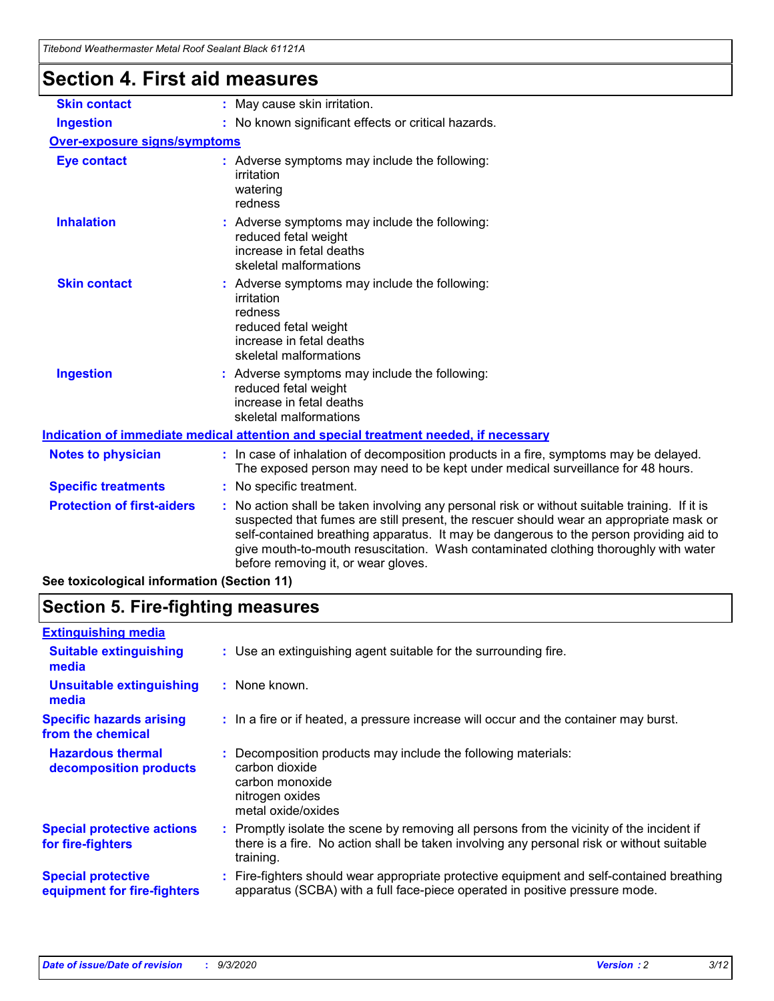| Titebong Weathermaster Metal Roof Sealant Black 61121A |                                                                                                                                                                                                                                                                                                                                                                                                                 |
|--------------------------------------------------------|-----------------------------------------------------------------------------------------------------------------------------------------------------------------------------------------------------------------------------------------------------------------------------------------------------------------------------------------------------------------------------------------------------------------|
| Section 4. First aid measures                          |                                                                                                                                                                                                                                                                                                                                                                                                                 |
| <b>Skin contact</b>                                    | : May cause skin irritation.                                                                                                                                                                                                                                                                                                                                                                                    |
| <b>Ingestion</b>                                       | : No known significant effects or critical hazards.                                                                                                                                                                                                                                                                                                                                                             |
| Over-exposure signs/symptoms                           |                                                                                                                                                                                                                                                                                                                                                                                                                 |
| <b>Eye contact</b>                                     | : Adverse symptoms may include the following:<br>irritation<br>watering<br>redness                                                                                                                                                                                                                                                                                                                              |
| <b>Inhalation</b>                                      | : Adverse symptoms may include the following:<br>reduced fetal weight<br>increase in fetal deaths<br>skeletal malformations                                                                                                                                                                                                                                                                                     |
| <b>Skin contact</b>                                    | : Adverse symptoms may include the following:<br>irritation<br>redness<br>reduced fetal weight<br>increase in fetal deaths<br>skeletal malformations                                                                                                                                                                                                                                                            |
| <b>Ingestion</b>                                       | : Adverse symptoms may include the following:<br>reduced fetal weight<br>increase in fetal deaths<br>skeletal malformations                                                                                                                                                                                                                                                                                     |
|                                                        | Indication of immediate medical attention and special treatment needed, if necessary                                                                                                                                                                                                                                                                                                                            |
| <b>Notes to physician</b>                              | : In case of inhalation of decomposition products in a fire, symptoms may be delayed.<br>The exposed person may need to be kept under medical surveillance for 48 hours.                                                                                                                                                                                                                                        |
| <b>Specific treatments</b>                             | : No specific treatment.                                                                                                                                                                                                                                                                                                                                                                                        |
| <b>Protection of first-aiders</b>                      | : No action shall be taken involving any personal risk or without suitable training. If it is<br>suspected that fumes are still present, the rescuer should wear an appropriate mask or<br>self-contained breathing apparatus. It may be dangerous to the person providing aid to<br>give mouth-to-mouth resuscitation. Wash contaminated clothing thoroughly with water<br>before removing it, or wear gloves. |
| See toxicological information (Section 11)             |                                                                                                                                                                                                                                                                                                                                                                                                                 |

## **Section 5. Fire-fighting measures**

| <b>Extinguishing media</b>                               |                                                                                                                                                                                                     |
|----------------------------------------------------------|-----------------------------------------------------------------------------------------------------------------------------------------------------------------------------------------------------|
| <b>Suitable extinguishing</b><br>media                   | : Use an extinguishing agent suitable for the surrounding fire.                                                                                                                                     |
| <b>Unsuitable extinguishing</b><br>media                 | : None known.                                                                                                                                                                                       |
| <b>Specific hazards arising</b><br>from the chemical     | : In a fire or if heated, a pressure increase will occur and the container may burst.                                                                                                               |
| <b>Hazardous thermal</b><br>decomposition products       | : Decomposition products may include the following materials:<br>carbon dioxide<br>carbon monoxide<br>nitrogen oxides<br>metal oxide/oxides                                                         |
| <b>Special protective actions</b><br>for fire-fighters   | : Promptly isolate the scene by removing all persons from the vicinity of the incident if<br>there is a fire. No action shall be taken involving any personal risk or without suitable<br>training. |
| <b>Special protective</b><br>equipment for fire-fighters | : Fire-fighters should wear appropriate protective equipment and self-contained breathing<br>apparatus (SCBA) with a full face-piece operated in positive pressure mode.                            |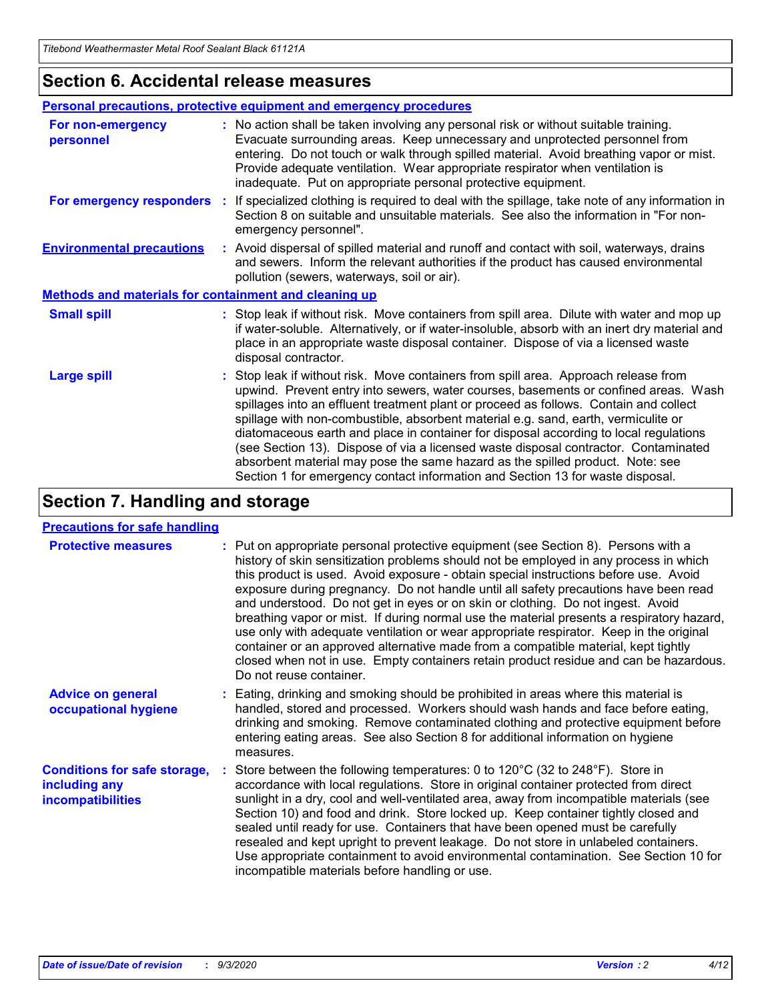### **Section 6. Accidental release measures**

|                                                              | Personal precautions, protective equipment and emergency procedures                                                                                                                                                                                                                                                                                                                                                                                                                                                                                                                                                                                                                                          |  |  |  |  |
|--------------------------------------------------------------|--------------------------------------------------------------------------------------------------------------------------------------------------------------------------------------------------------------------------------------------------------------------------------------------------------------------------------------------------------------------------------------------------------------------------------------------------------------------------------------------------------------------------------------------------------------------------------------------------------------------------------------------------------------------------------------------------------------|--|--|--|--|
| For non-emergency<br>personnel                               | : No action shall be taken involving any personal risk or without suitable training.<br>Evacuate surrounding areas. Keep unnecessary and unprotected personnel from<br>entering. Do not touch or walk through spilled material. Avoid breathing vapor or mist.<br>Provide adequate ventilation. Wear appropriate respirator when ventilation is<br>inadequate. Put on appropriate personal protective equipment.                                                                                                                                                                                                                                                                                             |  |  |  |  |
| For emergency responders                                     | : If specialized clothing is required to deal with the spillage, take note of any information in<br>Section 8 on suitable and unsuitable materials. See also the information in "For non-<br>emergency personnel".                                                                                                                                                                                                                                                                                                                                                                                                                                                                                           |  |  |  |  |
| <b>Environmental precautions</b>                             | : Avoid dispersal of spilled material and runoff and contact with soil, waterways, drains<br>and sewers. Inform the relevant authorities if the product has caused environmental<br>pollution (sewers, waterways, soil or air).                                                                                                                                                                                                                                                                                                                                                                                                                                                                              |  |  |  |  |
| <b>Methods and materials for containment and cleaning up</b> |                                                                                                                                                                                                                                                                                                                                                                                                                                                                                                                                                                                                                                                                                                              |  |  |  |  |
| <b>Small spill</b>                                           | : Stop leak if without risk. Move containers from spill area. Dilute with water and mop up<br>if water-soluble. Alternatively, or if water-insoluble, absorb with an inert dry material and<br>place in an appropriate waste disposal container. Dispose of via a licensed waste<br>disposal contractor.                                                                                                                                                                                                                                                                                                                                                                                                     |  |  |  |  |
| <b>Large spill</b>                                           | : Stop leak if without risk. Move containers from spill area. Approach release from<br>upwind. Prevent entry into sewers, water courses, basements or confined areas. Wash<br>spillages into an effluent treatment plant or proceed as follows. Contain and collect<br>spillage with non-combustible, absorbent material e.g. sand, earth, vermiculite or<br>diatomaceous earth and place in container for disposal according to local regulations<br>(see Section 13). Dispose of via a licensed waste disposal contractor. Contaminated<br>absorbent material may pose the same hazard as the spilled product. Note: see<br>Section 1 for emergency contact information and Section 13 for waste disposal. |  |  |  |  |

## **Section 7. Handling and storage**

### **Precautions for safe handling**

| <b>Protective measures</b>                                                       | : Put on appropriate personal protective equipment (see Section 8). Persons with a<br>history of skin sensitization problems should not be employed in any process in which<br>this product is used. Avoid exposure - obtain special instructions before use. Avoid<br>exposure during pregnancy. Do not handle until all safety precautions have been read<br>and understood. Do not get in eyes or on skin or clothing. Do not ingest. Avoid<br>breathing vapor or mist. If during normal use the material presents a respiratory hazard,<br>use only with adequate ventilation or wear appropriate respirator. Keep in the original<br>container or an approved alternative made from a compatible material, kept tightly<br>closed when not in use. Empty containers retain product residue and can be hazardous.<br>Do not reuse container. |
|----------------------------------------------------------------------------------|--------------------------------------------------------------------------------------------------------------------------------------------------------------------------------------------------------------------------------------------------------------------------------------------------------------------------------------------------------------------------------------------------------------------------------------------------------------------------------------------------------------------------------------------------------------------------------------------------------------------------------------------------------------------------------------------------------------------------------------------------------------------------------------------------------------------------------------------------|
| <b>Advice on general</b><br>occupational hygiene                                 | : Eating, drinking and smoking should be prohibited in areas where this material is<br>handled, stored and processed. Workers should wash hands and face before eating,<br>drinking and smoking. Remove contaminated clothing and protective equipment before<br>entering eating areas. See also Section 8 for additional information on hygiene<br>measures.                                                                                                                                                                                                                                                                                                                                                                                                                                                                                    |
| <b>Conditions for safe storage,</b><br>including any<br><i>incompatibilities</i> | Store between the following temperatures: 0 to 120°C (32 to 248°F). Store in<br>accordance with local regulations. Store in original container protected from direct<br>sunlight in a dry, cool and well-ventilated area, away from incompatible materials (see<br>Section 10) and food and drink. Store locked up. Keep container tightly closed and<br>sealed until ready for use. Containers that have been opened must be carefully<br>resealed and kept upright to prevent leakage. Do not store in unlabeled containers.<br>Use appropriate containment to avoid environmental contamination. See Section 10 for<br>incompatible materials before handling or use.                                                                                                                                                                         |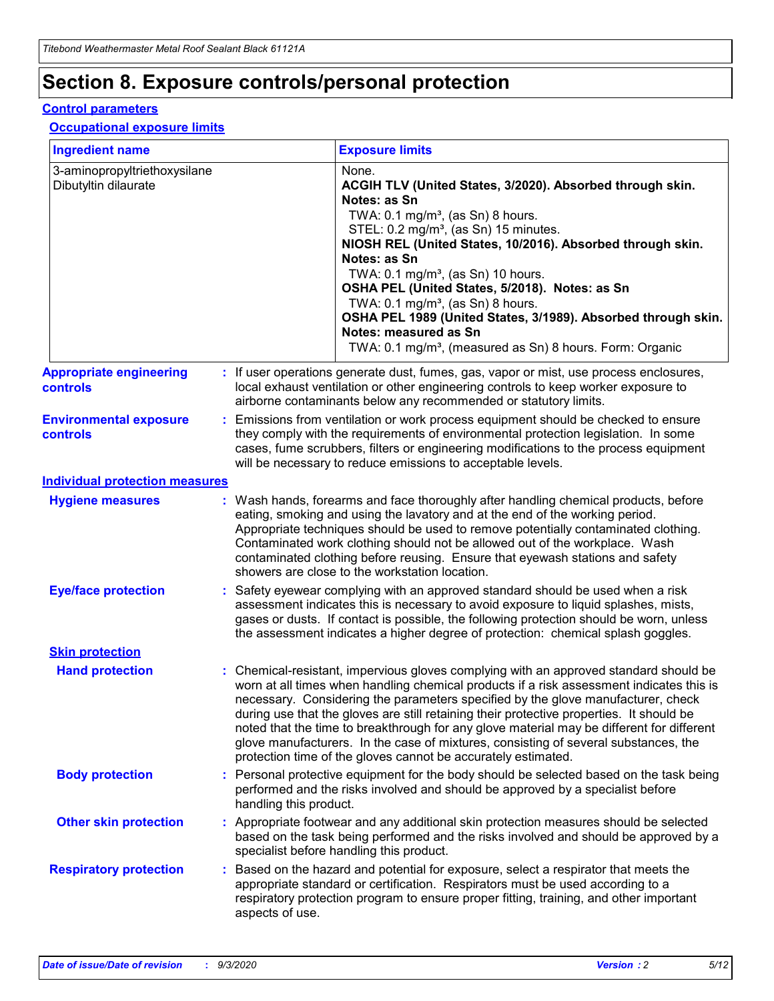## **Section 8. Exposure controls/personal protection**

### **Control parameters**

#### **Occupational exposure limits**

| <b>Ingredient name</b>                               |    |                        | <b>Exposure limits</b>                                                                                                                                                                                                                                                                                                                                                                                                                                                                                                                                                                                                 |
|------------------------------------------------------|----|------------------------|------------------------------------------------------------------------------------------------------------------------------------------------------------------------------------------------------------------------------------------------------------------------------------------------------------------------------------------------------------------------------------------------------------------------------------------------------------------------------------------------------------------------------------------------------------------------------------------------------------------------|
| 3-aminopropyltriethoxysilane<br>Dibutyltin dilaurate |    |                        | None.<br>ACGIH TLV (United States, 3/2020). Absorbed through skin.<br>Notes: as Sn<br>TWA: $0.1 \text{ mg/m}^3$ , (as Sn) 8 hours.<br>STEL: 0.2 mg/m <sup>3</sup> , (as Sn) 15 minutes.<br>NIOSH REL (United States, 10/2016). Absorbed through skin.<br>Notes: as Sn<br>TWA: 0.1 mg/m <sup>3</sup> , (as Sn) 10 hours.<br>OSHA PEL (United States, 5/2018). Notes: as Sn<br>TWA: 0.1 mg/m <sup>3</sup> , (as Sn) 8 hours.<br>OSHA PEL 1989 (United States, 3/1989). Absorbed through skin.<br>Notes: measured as Sn<br>TWA: 0.1 mg/m <sup>3</sup> , (measured as Sn) 8 hours. Form: Organic                           |
| <b>Appropriate engineering</b><br>controls           |    |                        | : If user operations generate dust, fumes, gas, vapor or mist, use process enclosures,<br>local exhaust ventilation or other engineering controls to keep worker exposure to<br>airborne contaminants below any recommended or statutory limits.                                                                                                                                                                                                                                                                                                                                                                       |
| <b>Environmental exposure</b><br>controls            |    |                        | Emissions from ventilation or work process equipment should be checked to ensure<br>they comply with the requirements of environmental protection legislation. In some<br>cases, fume scrubbers, filters or engineering modifications to the process equipment<br>will be necessary to reduce emissions to acceptable levels.                                                                                                                                                                                                                                                                                          |
| <b>Individual protection measures</b>                |    |                        |                                                                                                                                                                                                                                                                                                                                                                                                                                                                                                                                                                                                                        |
| <b>Hygiene measures</b>                              |    |                        | : Wash hands, forearms and face thoroughly after handling chemical products, before<br>eating, smoking and using the lavatory and at the end of the working period.<br>Appropriate techniques should be used to remove potentially contaminated clothing.<br>Contaminated work clothing should not be allowed out of the workplace. Wash<br>contaminated clothing before reusing. Ensure that eyewash stations and safety<br>showers are close to the workstation location.                                                                                                                                            |
| <b>Eye/face protection</b>                           |    |                        | Safety eyewear complying with an approved standard should be used when a risk<br>assessment indicates this is necessary to avoid exposure to liquid splashes, mists,<br>gases or dusts. If contact is possible, the following protection should be worn, unless<br>the assessment indicates a higher degree of protection: chemical splash goggles.                                                                                                                                                                                                                                                                    |
| <b>Skin protection</b>                               |    |                        |                                                                                                                                                                                                                                                                                                                                                                                                                                                                                                                                                                                                                        |
| <b>Hand protection</b>                               |    |                        | : Chemical-resistant, impervious gloves complying with an approved standard should be<br>worn at all times when handling chemical products if a risk assessment indicates this is<br>necessary. Considering the parameters specified by the glove manufacturer, check<br>during use that the gloves are still retaining their protective properties. It should be<br>noted that the time to breakthrough for any glove material may be different for different<br>glove manufacturers. In the case of mixtures, consisting of several substances, the<br>protection time of the gloves cannot be accurately estimated. |
| <b>Body protection</b>                               |    | handling this product. | Personal protective equipment for the body should be selected based on the task being<br>performed and the risks involved and should be approved by a specialist before                                                                                                                                                                                                                                                                                                                                                                                                                                                |
| <b>Other skin protection</b>                         |    |                        | : Appropriate footwear and any additional skin protection measures should be selected<br>based on the task being performed and the risks involved and should be approved by a<br>specialist before handling this product.                                                                                                                                                                                                                                                                                                                                                                                              |
| <b>Respiratory protection</b>                        | ÷. | aspects of use.        | Based on the hazard and potential for exposure, select a respirator that meets the<br>appropriate standard or certification. Respirators must be used according to a<br>respiratory protection program to ensure proper fitting, training, and other important                                                                                                                                                                                                                                                                                                                                                         |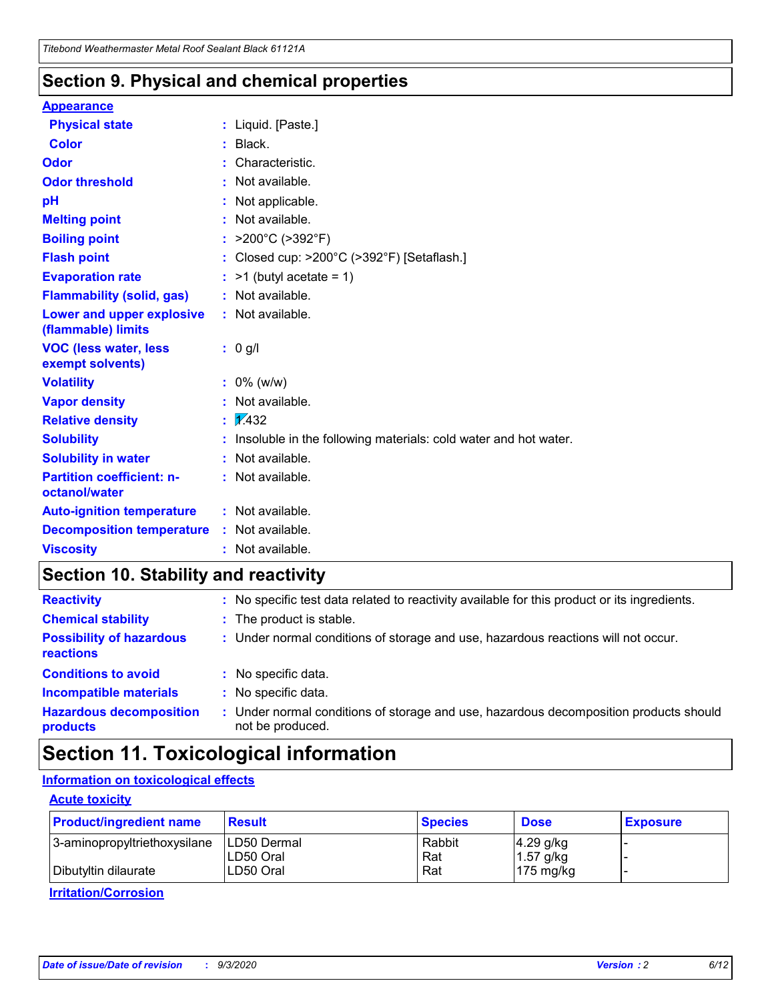### **Section 9. Physical and chemical properties**

#### **Appearance**

| <b>Physical state</b>                                  | : Liquid. [Paste.]                                              |  |  |
|--------------------------------------------------------|-----------------------------------------------------------------|--|--|
| Color                                                  | Black.                                                          |  |  |
| Odor                                                   | Characteristic.                                                 |  |  |
| <b>Odor threshold</b>                                  | Not available.                                                  |  |  |
| pH                                                     | Not applicable.                                                 |  |  |
| <b>Melting point</b>                                   | Not available.                                                  |  |  |
| <b>Boiling point</b>                                   | : $>200^{\circ}$ C ( $>392^{\circ}$ F)                          |  |  |
| <b>Flash point</b>                                     | Closed cup: >200°C (>392°F) [Setaflash.]                        |  |  |
| <b>Evaporation rate</b>                                | $:$ >1 (butyl acetate = 1)                                      |  |  |
| <b>Flammability (solid, gas)</b>                       | : Not available.                                                |  |  |
| <b>Lower and upper explosive</b><br>(flammable) limits | : Not available.                                                |  |  |
| <b>VOC (less water, less)</b><br>exempt solvents)      | $: 0$ g/l                                                       |  |  |
| <b>Volatility</b>                                      | $: 0\%$ (w/w)                                                   |  |  |
| <b>Vapor density</b>                                   | Not available.                                                  |  |  |
| <b>Relative density</b>                                | $\frac{1}{2}$ 2.432                                             |  |  |
| <b>Solubility</b>                                      | Insoluble in the following materials: cold water and hot water. |  |  |
| <b>Solubility in water</b>                             | Not available.                                                  |  |  |
| <b>Partition coefficient: n-</b><br>octanol/water      | : Not available.                                                |  |  |
| <b>Auto-ignition temperature</b>                       | : Not available.                                                |  |  |
| <b>Decomposition temperature</b>                       | : Not available.                                                |  |  |
| <b>Viscosity</b>                                       | : Not available.                                                |  |  |

### **Section 10. Stability and reactivity**

| <b>Reactivity</b>                            |    | : No specific test data related to reactivity available for this product or its ingredients.            |
|----------------------------------------------|----|---------------------------------------------------------------------------------------------------------|
| <b>Chemical stability</b>                    |    | : The product is stable.                                                                                |
| <b>Possibility of hazardous</b><br>reactions |    | : Under normal conditions of storage and use, hazardous reactions will not occur.                       |
| <b>Conditions to avoid</b>                   |    | : No specific data.                                                                                     |
| <b>Incompatible materials</b>                | ٠. | No specific data.                                                                                       |
| <b>Hazardous decomposition</b><br>products   | ÷. | Under normal conditions of storage and use, hazardous decomposition products should<br>not be produced. |

## **Section 11. Toxicological information**

### **Information on toxicological effects**

### **Acute toxicity**

| <b>Product/ingredient name</b> | <b>Result</b> | <b>Species</b> | <b>Dose</b>         | <b>Exposure</b> |
|--------------------------------|---------------|----------------|---------------------|-----------------|
| 3-aminopropyltriethoxysilane   | LD50 Dermal   | Rabbit         | $4.29$ g/kg         |                 |
|                                | ILD50 Oral    | Rat            | 1.57 g/kg           |                 |
| Dibutyltin dilaurate           | LD50 Oral     | Rat            | $175 \text{ mg/kg}$ |                 |

**Irritation/Corrosion**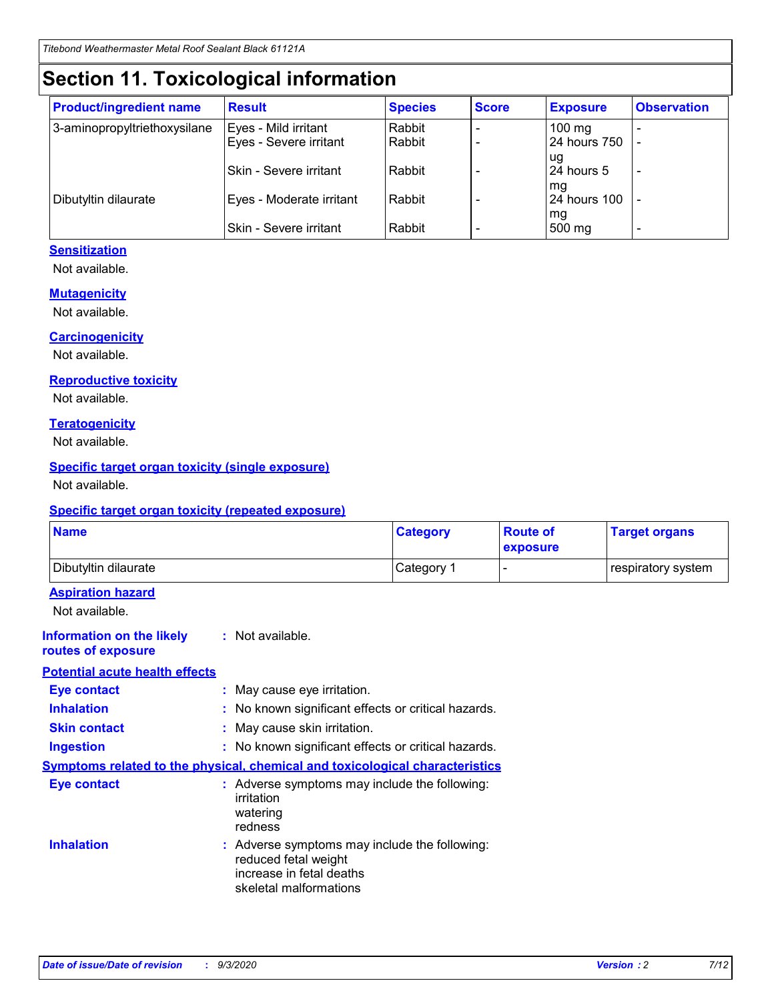## **Section 11. Toxicological information**

| <b>Product/ingredient name</b> | <b>Result</b>            | <b>Species</b> | <b>Score</b> | <b>Exposure</b>           | <b>Observation</b> |
|--------------------------------|--------------------------|----------------|--------------|---------------------------|--------------------|
| 3-aminopropyltriethoxysilane   | Eyes - Mild irritant     | Rabbit         |              | $100$ mg                  |                    |
|                                | Eyes - Severe irritant   | Rabbit         |              | 24 hours 750              |                    |
|                                |                          |                |              | ug                        |                    |
|                                | Skin - Severe irritant   | Rabbit         |              | 24 hours 5                | -                  |
| Dibutyltin dilaurate           | Eyes - Moderate irritant | Rabbit         |              | mg<br><b>24 hours 100</b> |                    |
|                                |                          |                |              | mg                        |                    |
|                                | Skin - Severe irritant   | Rabbit         |              | 500 mg                    | -                  |

### **Sensitization**

Not available.

### **Mutagenicity**

Not available.

#### **Carcinogenicity**

Not available.

#### **Reproductive toxicity**

Not available.

### **Teratogenicity**

Not available.

### **Specific target organ toxicity (single exposure)**

Not available.

### **Specific target organ toxicity (repeated exposure)**

| <b>Name</b>                                                                  |                                                                                    | <b>Category</b>                               | <b>Route of</b><br>exposure | <b>Target organs</b> |
|------------------------------------------------------------------------------|------------------------------------------------------------------------------------|-----------------------------------------------|-----------------------------|----------------------|
| Dibutyltin dilaurate                                                         |                                                                                    | Category 1                                    | $\overline{\phantom{0}}$    | respiratory system   |
| <b>Aspiration hazard</b><br>Not available.                                   |                                                                                    |                                               |                             |                      |
| <b>Information on the likely</b><br>routes of exposure                       | : Not available.                                                                   |                                               |                             |                      |
| <b>Potential acute health effects</b>                                        |                                                                                    |                                               |                             |                      |
| <b>Eye contact</b>                                                           | : May cause eye irritation.                                                        |                                               |                             |                      |
| <b>Inhalation</b>                                                            | : No known significant effects or critical hazards.                                |                                               |                             |                      |
| <b>Skin contact</b>                                                          | : May cause skin irritation.                                                       |                                               |                             |                      |
| <b>Ingestion</b>                                                             | : No known significant effects or critical hazards.                                |                                               |                             |                      |
| Symptoms related to the physical, chemical and toxicological characteristics |                                                                                    |                                               |                             |                      |
| <b>Eye contact</b>                                                           | : Adverse symptoms may include the following:<br>irritation<br>watering<br>redness |                                               |                             |                      |
| <b>Inhalation</b>                                                            | reduced fetal weight<br>increase in fetal deaths<br>skeletal malformations         | : Adverse symptoms may include the following: |                             |                      |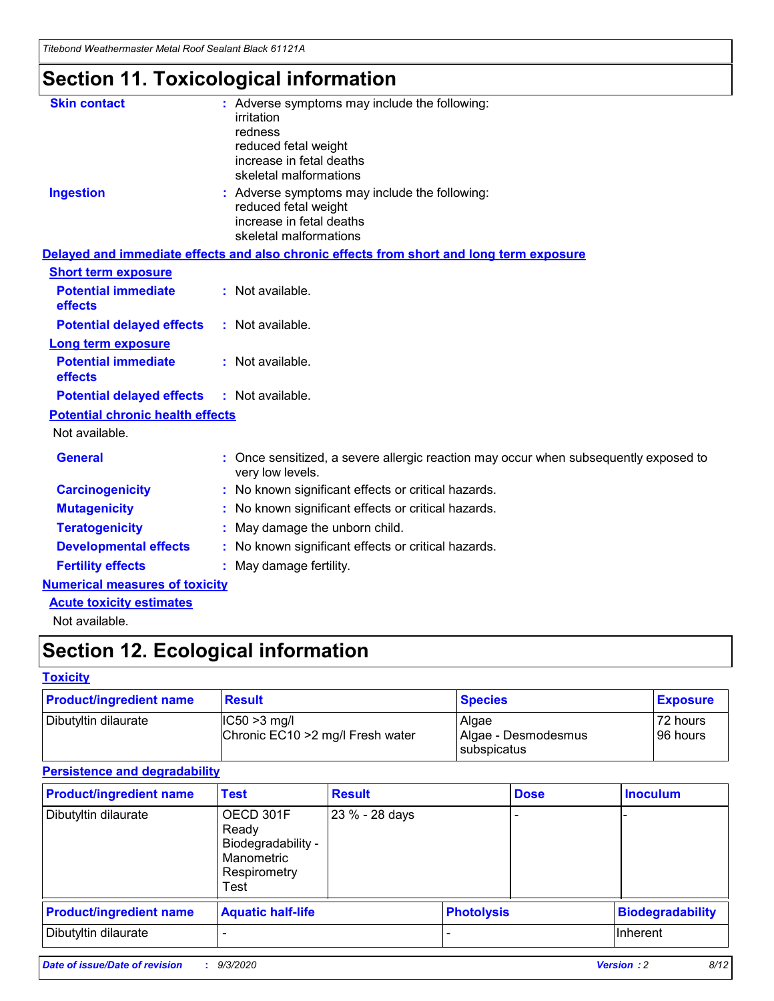*Titebond Weathermaster Metal Roof Sealant Black 61121A*

## **Section 11. Toxicological information**

| <b>Skin contact</b>                     | : Adverse symptoms may include the following:<br>irritation                                            |
|-----------------------------------------|--------------------------------------------------------------------------------------------------------|
|                                         | redness                                                                                                |
|                                         | reduced fetal weight                                                                                   |
|                                         | increase in fetal deaths                                                                               |
|                                         | skeletal malformations                                                                                 |
| <b>Ingestion</b>                        | : Adverse symptoms may include the following:<br>reduced fetal weight                                  |
|                                         | increase in fetal deaths                                                                               |
|                                         | skeletal malformations                                                                                 |
|                                         | Delayed and immediate effects and also chronic effects from short and long term exposure               |
| <b>Short term exposure</b>              |                                                                                                        |
| <b>Potential immediate</b><br>effects   | : Not available.                                                                                       |
| <b>Potential delayed effects</b>        | : Not available.                                                                                       |
| Long term exposure                      |                                                                                                        |
| <b>Potential immediate</b><br>effects   | : Not available.                                                                                       |
| <b>Potential delayed effects</b>        | : Not available.                                                                                       |
| <b>Potential chronic health effects</b> |                                                                                                        |
| Not available.                          |                                                                                                        |
| <b>General</b>                          | Once sensitized, a severe allergic reaction may occur when subsequently exposed to<br>very low levels. |
| <b>Carcinogenicity</b>                  | No known significant effects or critical hazards.                                                      |
| <b>Mutagenicity</b>                     | : No known significant effects or critical hazards.                                                    |
| <b>Teratogenicity</b>                   | May damage the unborn child.                                                                           |
| <b>Developmental effects</b>            | : No known significant effects or critical hazards.                                                    |
| <b>Fertility effects</b>                | : May damage fertility.                                                                                |
| <b>Numerical measures of toxicity</b>   |                                                                                                        |
| <b>Acute toxicity estimates</b>         |                                                                                                        |
| Not ovoilable                           |                                                                                                        |

Not available.

## **Section 12. Ecological information**

### **Toxicity**

| <b>Product/ingredient name</b> | <b>Result</b>                                       | <b>Species</b>               | <b>Exposure</b>       |
|--------------------------------|-----------------------------------------------------|------------------------------|-----------------------|
| Dibutyltin dilaurate           | $ CC50>3$ mg/l<br>Chronic EC10 > 2 mg/l Fresh water | Algae<br>Algae - Desmodesmus | 72 hours<br>196 hours |
|                                |                                                     | <b>I</b> subspicatus         |                       |

### **Persistence and degradability**

| <b>Product/ingredient name</b> | <b>Test</b>                                                                    | <b>Result</b>  |                   | <b>Dose</b> | <b>Inoculum</b>         |
|--------------------------------|--------------------------------------------------------------------------------|----------------|-------------------|-------------|-------------------------|
| Dibutyltin dilaurate           | OECD 301F<br>Ready<br>Biodegradability -<br>Manometric<br>Respirometry<br>Test | 23 % - 28 days |                   |             |                         |
| <b>Product/ingredient name</b> | <b>Aquatic half-life</b>                                                       |                | <b>Photolysis</b> |             | <b>Biodegradability</b> |
| Dibutyltin dilaurate           |                                                                                |                |                   |             | <b>Inherent</b>         |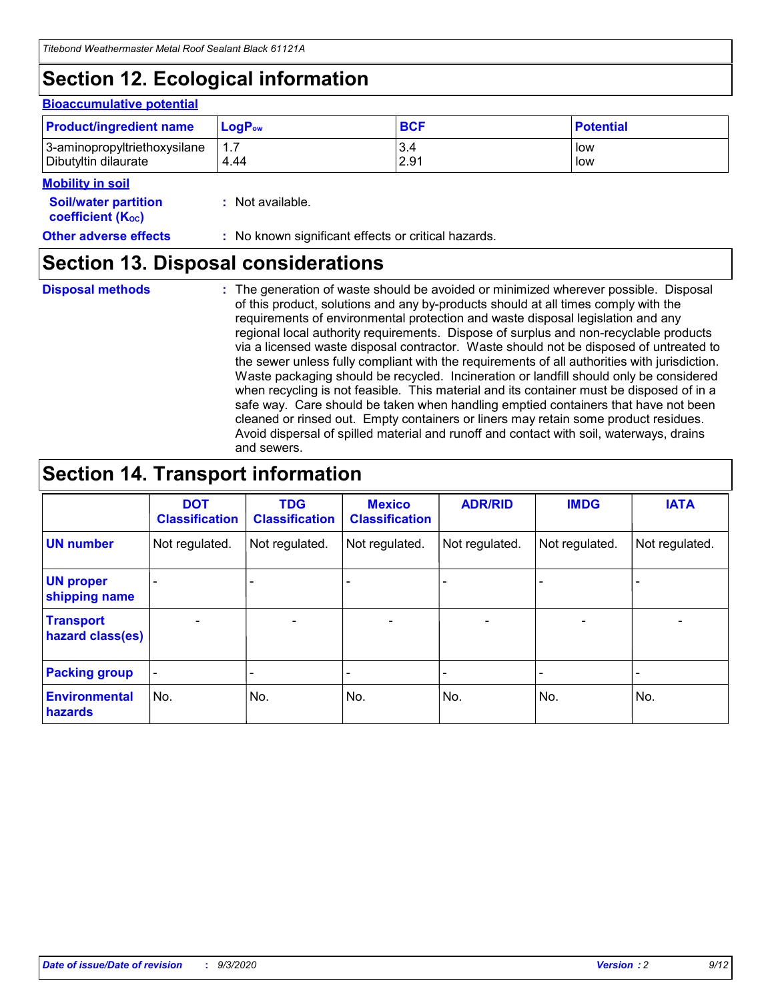## **Section 12. Ecological information**

#### **Bioaccumulative potential**

| <b>Product/ingredient name</b> | $LoaPow$ | <b>BCF</b> | <b>Potential</b> |
|--------------------------------|----------|------------|------------------|
| 3-aminopropyltriethoxysilane   | 1.7      | 3.4        | low              |
| Dibutyltin dilaurate           | 4.44     | 2.91       | low              |

#### **Mobility in soil**

| <b>Soil/water partition</b> | : Not available. |
|-----------------------------|------------------|
| <b>coefficient (Koc)</b>    |                  |

### **Section 13. Disposal considerations**

**Disposal methods :**

The generation of waste should be avoided or minimized wherever possible. Disposal of this product, solutions and any by-products should at all times comply with the requirements of environmental protection and waste disposal legislation and any regional local authority requirements. Dispose of surplus and non-recyclable products via a licensed waste disposal contractor. Waste should not be disposed of untreated to the sewer unless fully compliant with the requirements of all authorities with jurisdiction. Waste packaging should be recycled. Incineration or landfill should only be considered when recycling is not feasible. This material and its container must be disposed of in a safe way. Care should be taken when handling emptied containers that have not been cleaned or rinsed out. Empty containers or liners may retain some product residues. Avoid dispersal of spilled material and runoff and contact with soil, waterways, drains and sewers.

## **Section 14. Transport information**

|                                      | <b>DOT</b><br><b>Classification</b> | <b>TDG</b><br><b>Classification</b> | <b>Mexico</b><br><b>Classification</b> | <b>ADR/RID</b>           | <b>IMDG</b>              | <b>IATA</b>    |
|--------------------------------------|-------------------------------------|-------------------------------------|----------------------------------------|--------------------------|--------------------------|----------------|
| <b>UN number</b>                     | Not regulated.                      | Not regulated.                      | Not regulated.                         | Not regulated.           | Not regulated.           | Not regulated. |
| <b>UN proper</b><br>shipping name    |                                     |                                     |                                        |                          |                          |                |
| <b>Transport</b><br>hazard class(es) |                                     | $\overline{\phantom{0}}$            | $\qquad \qquad \blacksquare$           | $\overline{\phantom{0}}$ | $\overline{\phantom{0}}$ |                |
| <b>Packing group</b>                 |                                     |                                     |                                        |                          |                          |                |
| <b>Environmental</b><br>hazards      | No.                                 | No.                                 | No.                                    | No.                      | No.                      | No.            |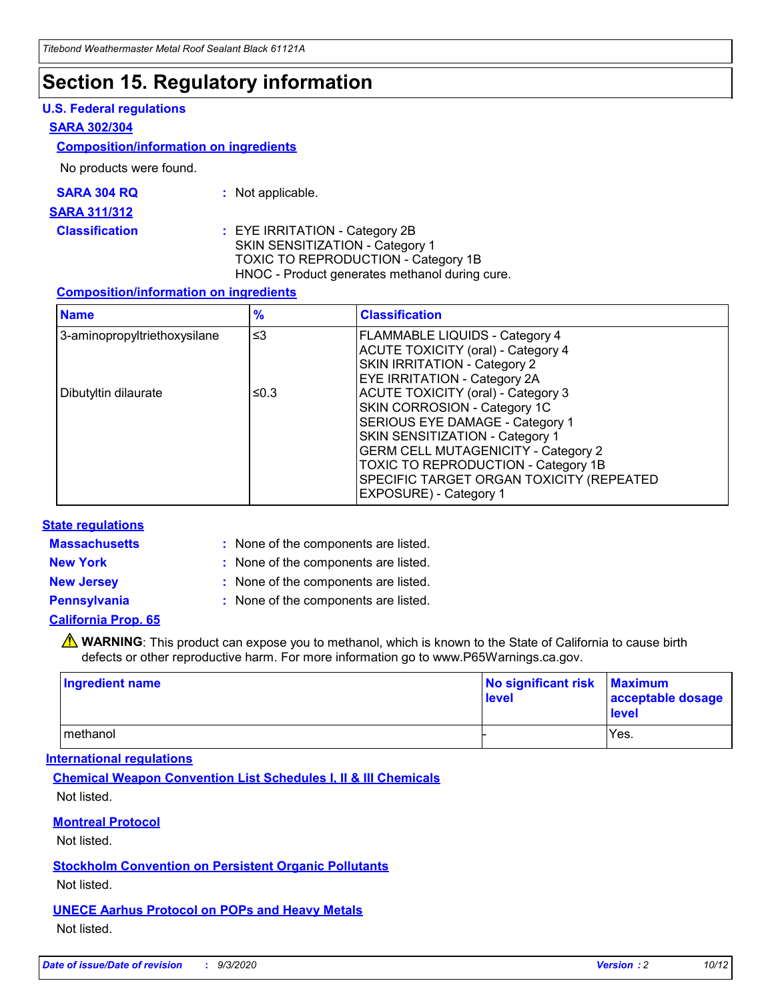## **Section 15. Regulatory information**

### **U.S. Federal regulations**

#### **SARA 302/304**

#### **Composition/information on ingredients**

No products were found.

| SARA 304 RQ | Not applicable. |
|-------------|-----------------|
|-------------|-----------------|

#### **SARA 311/312**

**Classification :** EYE IRRITATION - Category 2B SKIN SENSITIZATION - Category 1 TOXIC TO REPRODUCTION - Category 1B HNOC - Product generates methanol during cure.

### **Composition/information on ingredients**

| <b>Name</b>                  | $\frac{9}{6}$ | <b>Classification</b>                                                                                                                                                                                                                                                                                      |
|------------------------------|---------------|------------------------------------------------------------------------------------------------------------------------------------------------------------------------------------------------------------------------------------------------------------------------------------------------------------|
| 3-aminopropyltriethoxysilane | $\leq$ 3      | <b>FLAMMABLE LIQUIDS - Category 4</b><br><b>ACUTE TOXICITY (oral) - Category 4</b><br><b>SKIN IRRITATION - Category 2</b><br>EYE IRRITATION - Category 2A                                                                                                                                                  |
| Dibutyltin dilaurate         | ≤0.3          | <b>ACUTE TOXICITY (oral) - Category 3</b><br>SKIN CORROSION - Category 1C<br>SERIOUS EYE DAMAGE - Category 1<br>SKIN SENSITIZATION - Category 1<br><b>GERM CELL MUTAGENICITY - Category 2</b><br>TOXIC TO REPRODUCTION - Category 1B<br>SPECIFIC TARGET ORGAN TOXICITY (REPEATED<br>EXPOSURE) - Category 1 |

### **State regulations**

**Massachusetts :**

: None of the components are listed.

**New York :** None of the components are listed. **New Jersey :** None of the components are listed.

**Pennsylvania :** None of the components are listed.

### **California Prop. 65**

WARNING: This product can expose you to methanol, which is known to the State of California to cause birth defects or other reproductive harm. For more information go to www.P65Warnings.ca.gov.

| Ingredient name | No significant risk<br>level | <b>Maximum</b><br>acceptable dosage<br>level |
|-----------------|------------------------------|----------------------------------------------|
| methanol        |                              | Yes.                                         |

### **International regulations**

**Chemical Weapon Convention List Schedules I, II & III Chemicals** Not listed.

**Montreal Protocol**

Not listed.

**Stockholm Convention on Persistent Organic Pollutants**

Not listed.

**UNECE Aarhus Protocol on POPs and Heavy Metals** Not listed.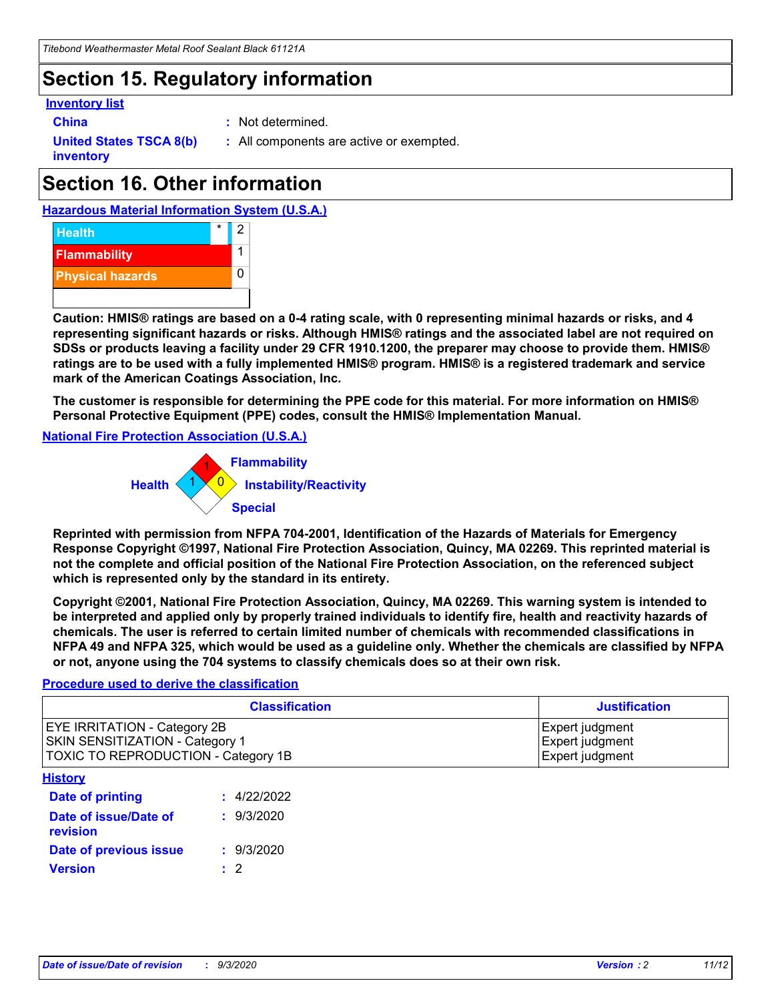## **Section 15. Regulatory information**

### **Inventory list**

- 
- **China :** Not determined.

**United States TSCA 8(b) inventory**

**:** All components are active or exempted.

## **Section 16. Other information**

**Hazardous Material Information System (U.S.A.)**



**Caution: HMIS® ratings are based on a 0-4 rating scale, with 0 representing minimal hazards or risks, and 4 representing significant hazards or risks. Although HMIS® ratings and the associated label are not required on SDSs or products leaving a facility under 29 CFR 1910.1200, the preparer may choose to provide them. HMIS® ratings are to be used with a fully implemented HMIS® program. HMIS® is a registered trademark and service mark of the American Coatings Association, Inc.**

**The customer is responsible for determining the PPE code for this material. For more information on HMIS® Personal Protective Equipment (PPE) codes, consult the HMIS® Implementation Manual.**

**National Fire Protection Association (U.S.A.)**



**Reprinted with permission from NFPA 704-2001, Identification of the Hazards of Materials for Emergency Response Copyright ©1997, National Fire Protection Association, Quincy, MA 02269. This reprinted material is not the complete and official position of the National Fire Protection Association, on the referenced subject which is represented only by the standard in its entirety.**

**Copyright ©2001, National Fire Protection Association, Quincy, MA 02269. This warning system is intended to be interpreted and applied only by properly trained individuals to identify fire, health and reactivity hazards of chemicals. The user is referred to certain limited number of chemicals with recommended classifications in NFPA 49 and NFPA 325, which would be used as a guideline only. Whether the chemicals are classified by NFPA or not, anyone using the 704 systems to classify chemicals does so at their own risk.**

### **Procedure used to derive the classification**

| <b>Classification</b>                                                                                         | <b>Justification</b>                                  |
|---------------------------------------------------------------------------------------------------------------|-------------------------------------------------------|
| <b>EYE IRRITATION - Category 2B</b><br>SKIN SENSITIZATION - Category 1<br>TOXIC TO REPRODUCTION - Category 1B | Expert judgment<br>Expert judgment<br>Expert judgment |
| <b>History</b>                                                                                                |                                                       |

| <b>Date of printing</b>           | : 4/22/2022 |
|-----------------------------------|-------------|
| Date of issue/Date of<br>revision | : 9/3/2020  |
| Date of previous issue            | : 9/3/2020  |
| <b>Version</b>                    | $\cdot$ 2   |
|                                   |             |